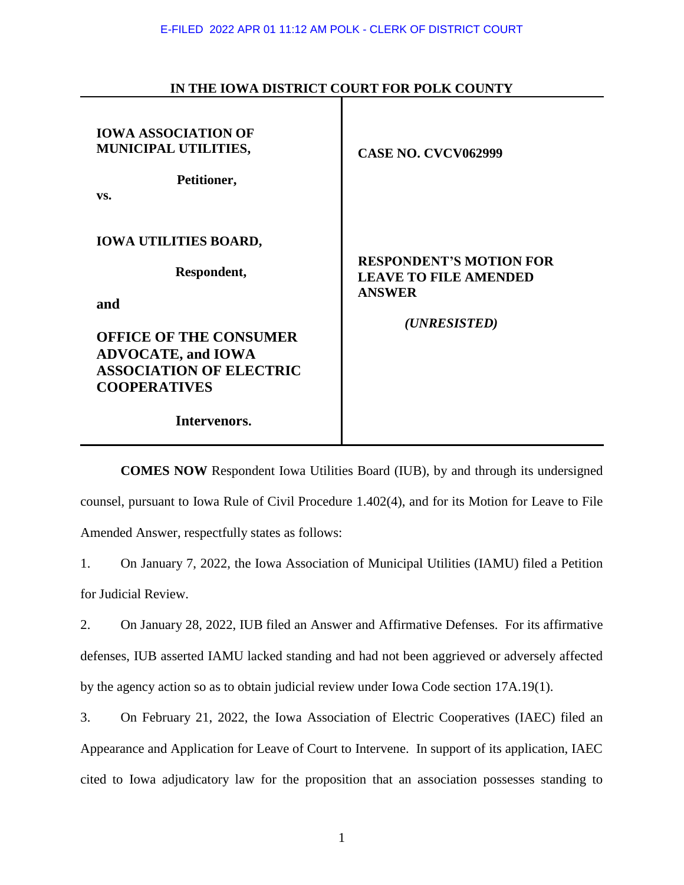| <b>IOWA ASSOCIATION OF</b><br>MUNICIPAL UTILITIES,<br>Petitioner,<br>VS.                                                                                                                  | <b>CASE NO. CVCV062999</b>                                                                      |
|-------------------------------------------------------------------------------------------------------------------------------------------------------------------------------------------|-------------------------------------------------------------------------------------------------|
| <b>IOWA UTILITIES BOARD,</b><br>Respondent,<br>and<br><b>OFFICE OF THE CONSUMER</b><br><b>ADVOCATE, and IOWA</b><br><b>ASSOCIATION OF ELECTRIC</b><br><b>COOPERATIVES</b><br>Intervenors. | <b>RESPONDENT'S MOTION FOR</b><br><b>LEAVE TO FILE AMENDED</b><br><b>ANSWER</b><br>(UNRESISTED) |

## **IN THE IOWA DISTRICT COURT FOR POLK COUNTY**

**COMES NOW** Respondent Iowa Utilities Board (IUB), by and through its undersigned counsel, pursuant to Iowa Rule of Civil Procedure 1.402(4), and for its Motion for Leave to File Amended Answer, respectfully states as follows:

1. On January 7, 2022, the Iowa Association of Municipal Utilities (IAMU) filed a Petition for Judicial Review.

2. On January 28, 2022, IUB filed an Answer and Affirmative Defenses. For its affirmative defenses, IUB asserted IAMU lacked standing and had not been aggrieved or adversely affected by the agency action so as to obtain judicial review under Iowa Code section 17A.19(1).

3. On February 21, 2022, the Iowa Association of Electric Cooperatives (IAEC) filed an Appearance and Application for Leave of Court to Intervene. In support of its application, IAEC cited to Iowa adjudicatory law for the proposition that an association possesses standing to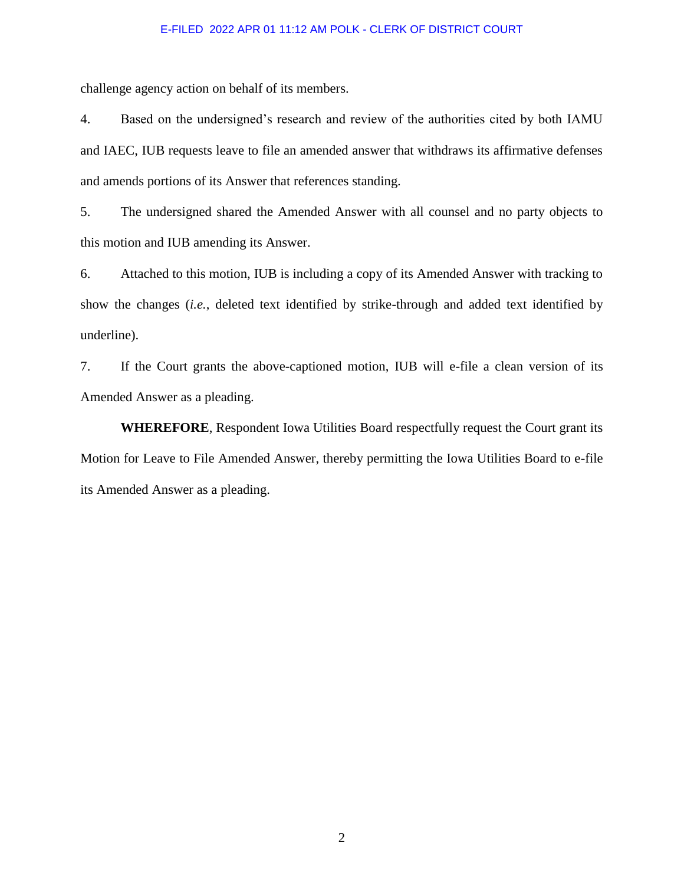## E-FILED 2022 APR 01 11:12 AM POLK - CLERK OF DISTRICT COURT

challenge agency action on behalf of its members.

4. Based on the undersigned's research and review of the authorities cited by both IAMU and IAEC, IUB requests leave to file an amended answer that withdraws its affirmative defenses and amends portions of its Answer that references standing.

5. The undersigned shared the Amended Answer with all counsel and no party objects to this motion and IUB amending its Answer.

6. Attached to this motion, IUB is including a copy of its Amended Answer with tracking to show the changes (*i.e.*, deleted text identified by strike-through and added text identified by underline).

7. If the Court grants the above-captioned motion, IUB will e-file a clean version of its Amended Answer as a pleading.

**WHEREFORE**, Respondent Iowa Utilities Board respectfully request the Court grant its Motion for Leave to File Amended Answer, thereby permitting the Iowa Utilities Board to e-file its Amended Answer as a pleading.